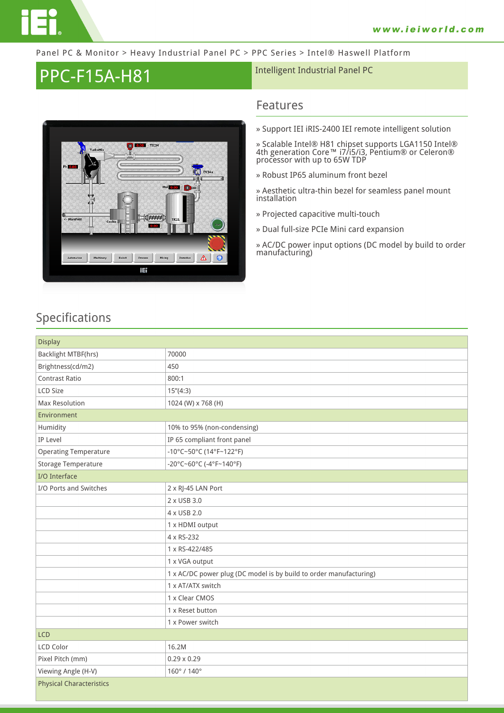

#### Panel PC & Monitor > Heavy Industrial Panel PC > PPC Series > Intel® Haswell Platform

# PPC-F15A-H81 **Intelligent Industrial Panel PC**



### **Features**

**» Support IEI iRIS-2400 IEI remote intelligent solution**

**» Scalable Intel® H81 chipset supports LGA1150 Intel® 4th generation Core™ i7/i5/i3, Pentium® or Celeron® processor with up to 65W TDP**

**» Robust IP65 aluminum front bezel**

**» Aesthetic ultra-thin bezel for seamless panel mount installation**

- **» Projected capacitive multi-touch**
- **» Dual full-size PCIe Mini card expansion**
- **» AC/DC power input options (DC model by build to order manufacturing)**

### **Specifications**

| <b>Display</b>                  |                                                                    |  |
|---------------------------------|--------------------------------------------------------------------|--|
| Backlight MTBF(hrs)             | 70000                                                              |  |
| Brightness(cd/m2)               | 450                                                                |  |
| <b>Contrast Ratio</b>           | 800:1                                                              |  |
| LCD Size                        | 15''(4:3)                                                          |  |
| Max Resolution                  | 1024 (W) x 768 (H)                                                 |  |
| Environment                     |                                                                    |  |
| Humidity                        | 10% to 95% (non-condensing)                                        |  |
| IP Level                        | IP 65 compliant front panel                                        |  |
| <b>Operating Temperature</b>    | -10°C~50°C (14°F~122°F)                                            |  |
| Storage Temperature             | -20°C~60°C (-4°F~140°F)                                            |  |
| I/O Interface                   |                                                                    |  |
| I/O Ports and Switches          | 2 x RJ-45 LAN Port                                                 |  |
|                                 | 2 x USB 3.0                                                        |  |
|                                 | 4 x USB 2.0                                                        |  |
|                                 | 1 x HDMI output                                                    |  |
|                                 | 4 x RS-232                                                         |  |
|                                 | 1 x RS-422/485                                                     |  |
|                                 | 1 x VGA output                                                     |  |
|                                 | 1 x AC/DC power plug (DC model is by build to order manufacturing) |  |
|                                 | 1 x AT/ATX switch                                                  |  |
|                                 | 1 x Clear CMOS                                                     |  |
|                                 | 1 x Reset button                                                   |  |
|                                 | 1 x Power switch                                                   |  |
| <b>LCD</b>                      |                                                                    |  |
| <b>LCD Color</b>                | 16.2M                                                              |  |
| Pixel Pitch (mm)                | $0.29 \times 0.29$                                                 |  |
| Viewing Angle (H-V)             | 160° / 140°                                                        |  |
| <b>Physical Characteristics</b> |                                                                    |  |